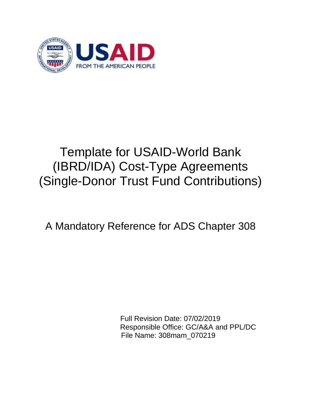

# Template for USAID-World Bank (IBRD/IDA) Cost-Type Agreements (Single-Donor Trust Fund Contributions)

## A Mandatory Reference for ADS Chapter 308

Full Revision Date: 07/02/2019 Responsible Office: GC/A&A and PPL/DC File Name: 308mam\_070219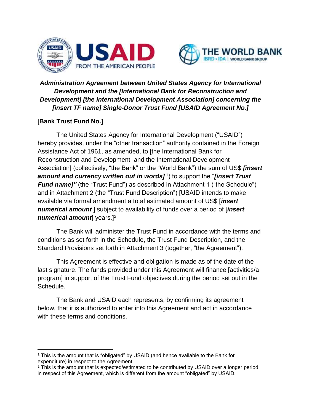



## *Administration Agreement between United States Agency for International Development and the [International Bank for Reconstruction and Development] [the International Development Association] concerning the [insert TF name] Single-Donor Trust Fund [USAID Agreement No.]*

## [**Bank Trust Fund No.]**

The United States Agency for International Development ("USAID") hereby provides, under the "other transaction" authority contained in the Foreign Assistance Act of 1961, as amended, to [the International Bank for Reconstruction and Development and the International Development Association] (collectively, "the Bank" or the "World Bank") the sum of US\$ *[insert*  amount and currency written out in words]<sup>1</sup>) to support the "[insert Trust *Fund name]"* (the "Trust Fund") as described in Attachment 1 ("the Schedule") and in Attachment 2 (the "Trust Fund Description") [USAID intends to make available via formal amendment a total estimated amount of US\$ [*insert numerical amount* ] subject to availability of funds over a period of [*insert numerical amount* years.<sup>[2</sup>]

The Bank will administer the Trust Fund in accordance with the terms and conditions as set forth in the Schedule, the Trust Fund Description, and the Standard Provisions set forth in Attachment 3 (together, "the Agreement").

This Agreement is effective and obligation is made as of the date of the last signature. The funds provided under this Agreement will finance [activities/a program] in support of the Trust Fund objectives during the period set out in the Schedule.

The Bank and USAID each represents, by confirming its agreement below, that it is authorized to enter into this Agreement and act in accordance with these terms and conditions.

 $\overline{\phantom{a}}$ <sup>1</sup> This is the amount that is "obligated" by USAID (and hence available to the Bank for expenditure) in respect to the Agreement.

<sup>&</sup>lt;sup>2</sup> This is the amount that is expected/estimated to be contributed by USAID over a longer period in respect of this Agreement, which is different from the amount "obligated" by USAID.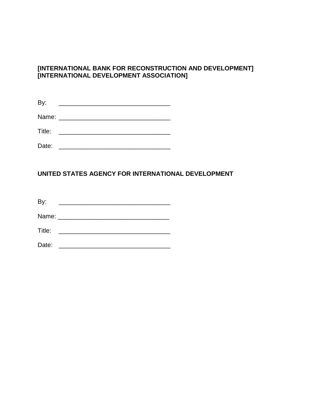## **[INTERNATIONAL BANK FOR RECONSTRUCTION AND DEVELOPMENT] [INTERNATIONAL DEVELOPMENT ASSOCIATION]**

| By:                    |                                      |  |  |  |
|------------------------|--------------------------------------|--|--|--|
| Name: ________________ |                                      |  |  |  |
| Title:                 | <u> 1986 - Johann Barbara, martx</u> |  |  |  |
| Date:                  |                                      |  |  |  |

#### **UNITED STATES AGENCY FOR INTERNATIONAL DEVELOPMENT**

By: \_\_\_\_\_\_\_\_\_\_\_\_\_\_\_\_\_\_\_\_\_\_\_\_\_\_\_\_\_\_\_\_

Name: \_\_\_\_\_\_\_\_\_\_\_\_\_\_\_\_\_\_\_\_\_\_\_\_\_\_\_\_\_\_\_\_

Title: \_\_\_\_\_\_\_\_\_\_\_\_\_\_\_\_\_\_\_\_\_\_\_\_\_\_\_\_\_\_\_\_

Date: \_\_\_\_\_\_\_\_\_\_\_\_\_\_\_\_\_\_\_\_\_\_\_\_\_\_\_\_\_\_\_\_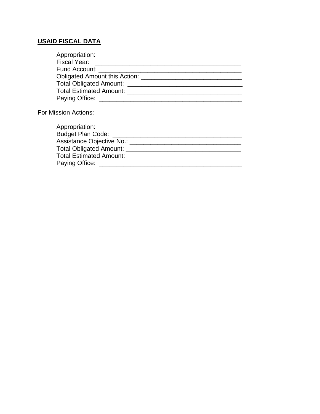## **USAID FISCAL DATA**

| For Mission Actions:    |  |
|-------------------------|--|
|                         |  |
| Appropriation: ________ |  |
| Dudest Dies Cades       |  |

| $\mu$                           |  |
|---------------------------------|--|
| <b>Budget Plan Code:</b>        |  |
| Assistance Objective No.: _____ |  |
| Total Obligated Amount:         |  |
| Total Estimated Amount: ___     |  |
| Paying Office:                  |  |
|                                 |  |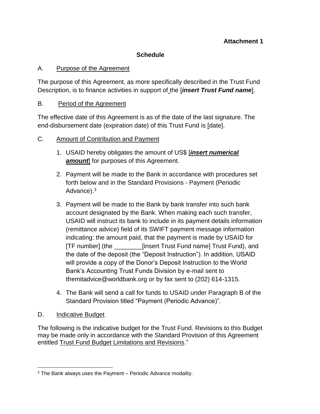## **Attachment 1**

## **Schedule**

#### A. Purpose of the Agreement

The purpose of this Agreement, as more specifically described in the Trust Fund Description, is to finance activities in support of the [*insert Trust Fund name*].

#### B. Period of the Agreement

The effective date of this Agreement is as of the date of the last signature. The end-disbursement date (expiration date) of this Trust Fund is [date].

## C. Amount of Contribution and Payment

- 1. USAID hereby obligates the amount of US\$ [*insert numerical*  **amount** for purposes of this Agreement.
- 2. Payment will be made to the Bank in accordance with procedures set forth below and in the Standard Provisions - Payment (Periodic Advance).<sup>3</sup>
- 3. Payment will be made to the Bank by bank transfer into such bank account designated by the Bank. When making each such transfer, USAID will instruct its bank to include in its payment details information (remittance advice) field of its SWIFT payment message information indicating: the amount paid, that the payment is made by USAID for [TF number] (the \_\_\_\_\_\_\_\_[insert Trust Fund name] Trust Fund), and the date of the deposit (the "Deposit Instruction"). In addition, USAID will provide a copy of the Donor's Deposit Instruction to the World Bank's Accounting Trust Funds Division by e-mail sent to tfremitadvice@worldbank.org or by fax sent to (202) 614-1315.
- 4. The Bank will send a call for funds to USAID under Paragraph B of the Standard Provision titled "Payment (Periodic Advance)".

## D. Indicative Budget

The following is the indicative budget for the Trust Fund. Revisions to this Budget may be made only in accordance with the Standard Provision of this Agreement entitled Trust Fund Budget Limitations and Revisions."

 $\overline{\phantom{a}}$ <sup>3</sup> The Bank always uses the Payment – Periodic Advance modality.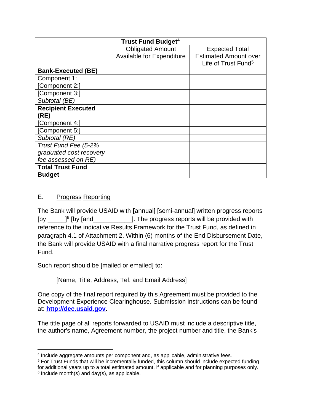| <b>Trust Fund Budget<sup>4</sup></b> |                                  |                                 |  |  |
|--------------------------------------|----------------------------------|---------------------------------|--|--|
|                                      | <b>Obligated Amount</b>          | <b>Expected Total</b>           |  |  |
|                                      | <b>Available for Expenditure</b> | <b>Estimated Amount over</b>    |  |  |
|                                      |                                  | Life of Trust Fund <sup>5</sup> |  |  |
| <b>Bank-Executed (BE)</b>            |                                  |                                 |  |  |
| Component 1:                         |                                  |                                 |  |  |
| [Component 2:]                       |                                  |                                 |  |  |
| [Component 3:]                       |                                  |                                 |  |  |
| Subtotal (BE)                        |                                  |                                 |  |  |
| <b>Recipient Executed</b>            |                                  |                                 |  |  |
| (RE)                                 |                                  |                                 |  |  |
| [Component 4:]                       |                                  |                                 |  |  |
| [Component 5:]                       |                                  |                                 |  |  |
| Subtotal (RE)                        |                                  |                                 |  |  |
| Trust Fund Fee (5-2%                 |                                  |                                 |  |  |
| graduated cost recovery              |                                  |                                 |  |  |
| fee assessed on RE)                  |                                  |                                 |  |  |
| <b>Total Trust Fund</b>              |                                  |                                 |  |  |
| <b>Budget</b>                        |                                  |                                 |  |  |

## E. Progress Reporting

The Bank will provide USAID with **[**annual] [semi-annual] written progress reports [by  $\frac{1}{2}$ ]<sup>6</sup> [by [and \_\_\_\_\_\_\_\_\_\_\_\_]. The progress reports will be provided with reference to the indicative Results Framework for the Trust Fund, as defined in paragraph 4.1 of Attachment 2. Within (6) months of the End Disbursement Date, the Bank will provide USAID with a final narrative progress report for the Trust Fund.

Such report should be [mailed or emailed] to:

[Name, Title, Address, Tel, and Email Address]

One copy of the final report required by this Agreement must be provided to the Development Experience Clearinghouse. Submission instructions can be found at: **[http://dec.usaid.gov.](http://dec.usaid.gov/)** 

The title page of all reports forwarded to USAID must include a descriptive title, the author's name, Agreement number, the project number and title, the Bank's

 $\overline{\phantom{a}}$ 4 Include aggregate amounts per component and, as applicable, administrative fees.

<sup>5</sup> For Trust Funds that will be incrementally funded, this column should include expected funding for additional years up to a total estimated amount, if applicable and for planning purposes only. <sup>6</sup> Include month(s) and day(s), as applicable.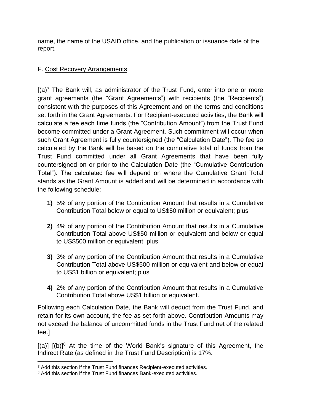name, the name of the USAID office, and the publication or issuance date of the report.

## F. Cost Recovery Arrangements

 $[(a)^7$  The Bank will, as administrator of the Trust Fund, enter into one or more grant agreements (the "Grant Agreements") with recipients (the "Recipients") consistent with the purposes of this Agreement and on the terms and conditions set forth in the Grant Agreements. For Recipient-executed activities, the Bank will calculate a fee each time funds (the "Contribution Amount") from the Trust Fund become committed under a Grant Agreement. Such commitment will occur when such Grant Agreement is fully countersigned (the "Calculation Date"). The fee so calculated by the Bank will be based on the cumulative total of funds from the Trust Fund committed under all Grant Agreements that have been fully countersigned on or prior to the Calculation Date (the "Cumulative Contribution Total"). The calculated fee will depend on where the Cumulative Grant Total stands as the Grant Amount is added and will be determined in accordance with the following schedule:

- **1)** 5% of any portion of the Contribution Amount that results in a Cumulative Contribution Total below or equal to US\$50 million or equivalent; plus
- **2)** 4% of any portion of the Contribution Amount that results in a Cumulative Contribution Total above US\$50 million or equivalent and below or equal to US\$500 million or equivalent; plus
- **3)** 3% of any portion of the Contribution Amount that results in a Cumulative Contribution Total above US\$500 million or equivalent and below or equal to US\$1 billion or equivalent; plus
- **4)** 2% of any portion of the Contribution Amount that results in a Cumulative Contribution Total above US\$1 billion or equivalent.

Following each Calculation Date, the Bank will deduct from the Trust Fund, and retain for its own account, the fee as set forth above. Contribution Amounts may not exceed the balance of uncommitted funds in the Trust Fund net of the related fee.]

 $[(a)]$   $[(b)]^8$  At the time of the World Bank's signature of this Agreement, the Indirect Rate (as defined in the Trust Fund Description) is 17%.

 $\overline{\phantom{a}}$ <sup>7</sup> Add this section if the Trust Fund finances Recipient-executed activities.

<sup>&</sup>lt;sup>8</sup> Add this section if the Trust Fund finances Bank-executed activities.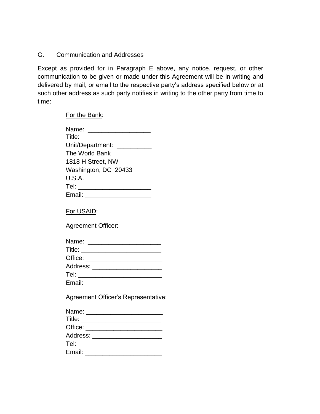## G. Communication and Addresses

Except as provided for in Paragraph E above, any notice, request, or other communication to be given or made under this Agreement will be in writing and delivered by mail, or email to the respective party's address specified below or at such other address as such party notifies in writing to the other party from time to time:

For the Bank:

| Name: ______________________        |
|-------------------------------------|
|                                     |
| Unit/Department: __________         |
| The World Bank                      |
| 1818 H Street, NW                   |
| Washington, DC 20433                |
| U.S.A.                              |
| Tel: _________________________      |
| Email: _________________________    |
|                                     |
| For USAID:                          |
| <b>Agreement Officer:</b>           |
| Name: _________________________     |
|                                     |
|                                     |
| Address: _______________________    |
|                                     |
|                                     |
| Agreement Officer's Representative: |
| $N \sim 2$                          |

| Title: __________________________ |  |  |
|-----------------------------------|--|--|
| Office: ______________________    |  |  |
| Address: ____________________     |  |  |
| Tel: ______________               |  |  |
| Email: _____________________      |  |  |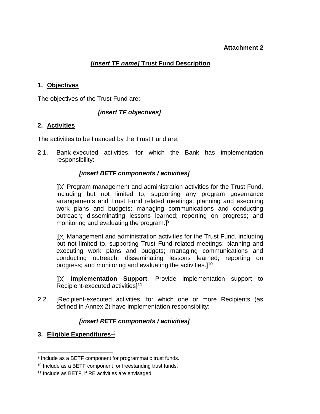#### **Attachment 2**

## *[insert TF name]* **Trust Fund Description**

#### **1. Objectives**

The objectives of the Trust Fund are:

#### **\_\_\_\_\_\_** *[insert TF objectives]*

#### **2. Activities**

The activities to be financed by the Trust Fund are:

2.1. Bank-executed activities, for which the Bank has implementation responsibility:

#### **\_\_\_\_\_\_** *[insert BETF components / activities]*

[[x] Program management and administration activities for the Trust Fund, including but not limited to, supporting any program governance arrangements and Trust Fund related meetings; planning and executing work plans and budgets; managing communications and conducting outreach; disseminating lessons learned; reporting on progress; and monitoring and evaluating the program.<sup>[9]</sup>

[[x] Management and administration activities for the Trust Fund, including but not limited to, supporting Trust Fund related meetings; planning and executing work plans and budgets; managing communications and conducting outreach; disseminating lessons learned; reporting on progress; and monitoring and evaluating the activities.]<sup>10</sup>

[[x] **Implementation Support**. Provide implementation support to Recipient-executed activities]<sup>11</sup>

2.2. [Recipient-executed activities, for which one or more Recipients (as defined in Annex 2) have implementation responsibility:

#### **\_\_\_\_\_\_** *[insert RETF components / activities]*

#### **3. Eligible Expenditures**<sup>12</sup>

 $\overline{\phantom{a}}$ 9 Include as a BETF component for programmatic trust funds.

<sup>10</sup> Include as a BETF component for freestanding trust funds.

<sup>11</sup> Include as BETF, if RE activities are envisaged.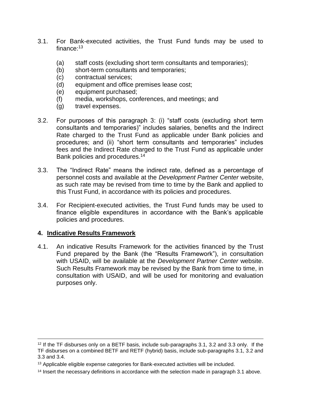- 3.1. For Bank-executed activities, the Trust Fund funds may be used to finance:<sup>13</sup>
	- (a) staff costs (excluding short term consultants and temporaries);
	- (b) short-term consultants and temporaries;
	- (c) contractual services;
	- (d) equipment and office premises lease cost;
	- (e) equipment purchased;
	- (f) media, workshops, conferences, and meetings; and
	- (g) travel expenses.
- 3.2. For purposes of this paragraph 3: (i) "staff costs (excluding short term consultants and temporaries)" includes salaries, benefits and the Indirect Rate charged to the Trust Fund as applicable under Bank policies and procedures; and (ii) "short term consultants and temporaries" includes fees and the Indirect Rate charged to the Trust Fund as applicable under Bank policies and procedures.<sup>14</sup>
- 3.3. The "Indirect Rate" means the indirect rate, defined as a percentage of personnel costs and available at the *Development Partner Center* website, as such rate may be revised from time to time by the Bank and applied to this Trust Fund, in accordance with its policies and procedures.
- 3.4. For Recipient-executed activities, the Trust Fund funds may be used to finance eligible expenditures in accordance with the Bank's applicable policies and procedures.

#### **4. Indicative Results Framework**

 $\overline{a}$ 

4.1. An indicative Results Framework for the activities financed by the Trust Fund prepared by the Bank (the "Results Framework"), in consultation with USAID, will be available at the *Development Partner Center* website. Such Results Framework may be revised by the Bank from time to time, in consultation with USAID, and will be used for monitoring and evaluation purposes only.

<sup>12</sup> If the TF disburses only on a BETF basis, include sub-paragraphs 3.1, 3.2 and 3.3 only. If the TF disburses on a combined BETF and RETF (hybrid) basis, include sub-paragraphs 3.1, 3.2 and 3.3 and 3.4.

<sup>&</sup>lt;sup>13</sup> Applicable eligible expense categories for Bank-executed activities will be included.

<sup>&</sup>lt;sup>14</sup> Insert the necessary definitions in accordance with the selection made in paragraph 3.1 above.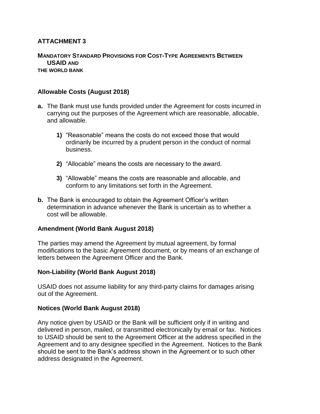## **ATTACHMENT 3**

#### **MANDATORY STANDARD PROVISIONS FOR COST-TYPE AGREEMENTS BETWEEN USAID AND THE WORLD BANK**

#### **Allowable Costs (August 2018)**

- **a.** The Bank must use funds provided under the Agreement for costs incurred in carrying out the purposes of the Agreement which are reasonable, allocable, and allowable.
	- **1)** "Reasonable" means the costs do not exceed those that would ordinarily be incurred by a prudent person in the conduct of normal business.
	- **2)** "Allocable" means the costs are necessary to the award.
	- **3)** "Allowable" means the costs are reasonable and allocable, and conform to any limitations set forth in the Agreement.
- **b.** The Bank is encouraged to obtain the Agreement Officer's written determination in advance whenever the Bank is uncertain as to whether a cost will be allowable.

#### **Amendment (World Bank August 2018)**

The parties may amend the Agreement by mutual agreement, by formal modifications to the basic Agreement document, or by means of an exchange of letters between the Agreement Officer and the Bank.

#### **Non-Liability (World Bank August 2018)**

USAID does not assume liability for any third-party claims for damages arising out of the Agreement.

#### **Notices (World Bank August 2018)**

Any notice given by USAID or the Bank will be sufficient only if in writing and delivered in person, mailed, or transmitted electronically by email or fax. Notices to USAID should be sent to the Agreement Officer at the address specified in the Agreement and to any designee specified in the Agreement. Notices to the Bank should be sent to the Bank's address shown in the Agreement or to such other address designated in the Agreement.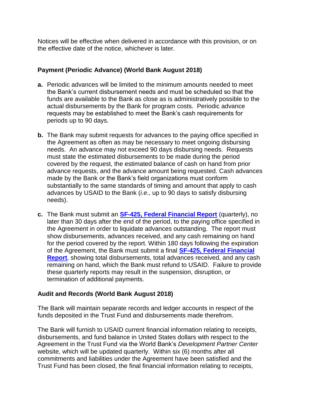Notices will be effective when delivered in accordance with this provision, or on the effective date of the notice, whichever is later.

## **Payment (Periodic Advance) (World Bank August 2018)**

- **a.** Periodic advances will be limited to the minimum amounts needed to meet the Bank's current disbursement needs and must be scheduled so that the funds are available to the Bank as close as is administratively possible to the actual disbursements by the Bank for program costs. Periodic advance requests may be established to meet the Bank's cash requirements for periods up to 90 days.
- **b.** The Bank may submit requests for advances to the paying office specified in the Agreement as often as may be necessary to meet ongoing disbursing needs. An advance may not exceed 90 days disbursing needs. Requests must state the estimated disbursements to be made during the period covered by the request, the estimated balance of cash on hand from prior advance requests, and the advance amount being requested. Cash advances made by the Bank or the Bank's field organizations must conform substantially to the same standards of timing and amount that apply to cash advances by USAID to the Bank (*i.e.,* up to 90 days to satisfy disbursing needs).
- **c.** The Bank must submit an **[SF-425, Federal Financial Report](https://www.usaid.gov/sites/default/files/documents/1868/SF-425%20%28Federal%20Financial%20Report%29%20%28Replaces%20SF-269%29.pdf)** (quarterly), no later than 30 days after the end of the period, to the paying office specified in the Agreement in order to liquidate advances outstanding. The report must show disbursements, advances received, and any cash remaining on hand for the period covered by the report. Within 180 days following the expiration of the Agreement, the Bank must submit a final **[SF-425, Federal Financial](https://www.usaid.gov/sites/default/files/documents/1868/SF-425%20%28Federal%20Financial%20Report%29%20%28Replaces%20SF-269%29.pdf)  [Report](https://www.usaid.gov/sites/default/files/documents/1868/SF-425%20%28Federal%20Financial%20Report%29%20%28Replaces%20SF-269%29.pdf)**, showing total disbursements, total advances received, and any cash remaining on hand, which the Bank must refund to USAID. Failure to provide these quarterly reports may result in the suspension, disruption, or termination of additional payments.

#### **Audit and Records (World Bank August 2018)**

The Bank will maintain separate records and ledger accounts in respect of the funds deposited in the Trust Fund and disbursements made therefrom.

The Bank will furnish to USAID current financial information relating to receipts, disbursements, and fund balance in United States dollars with respect to the Agreement in the Trust Fund via the World Bank's *Development Partner Center* website, which will be updated quarterly. Within six (6) months after all commitments and liabilities under the Agreement have been satisfied and the Trust Fund has been closed, the final financial information relating to receipts,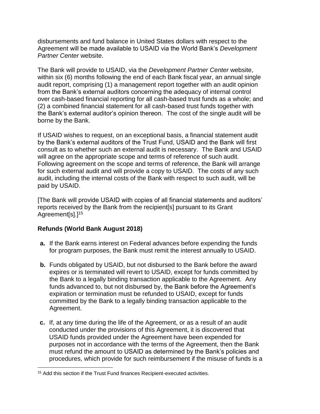disbursements and fund balance in United States dollars with respect to the Agreement will be made available to USAID via the World Bank's *Development Partner Center* website.

The Bank will provide to USAID, via the *Development Partner Center* website, within six (6) months following the end of each Bank fiscal year, an annual single audit report, comprising (1) a management report together with an audit opinion from the Bank's external auditors concerning the adequacy of internal control over cash-based financial reporting for all cash-based trust funds as a whole; and (2) a combined financial statement for all cash-based trust funds together with the Bank's external auditor's opinion thereon. The cost of the single audit will be borne by the Bank.

If USAID wishes to request, on an exceptional basis, a financial statement audit by the Bank's external auditors of the Trust Fund, USAID and the Bank will first consult as to whether such an external audit is necessary. The Bank and USAID will agree on the appropriate scope and terms of reference of such audit. Following agreement on the scope and terms of reference, the Bank will arrange for such external audit and will provide a copy to USAID. The costs of any such audit, including the internal costs of the Bank with respect to such audit, will be paid by USAID.

[The Bank will provide USAID with copies of all financial statements and auditors' reports received by the Bank from the recipient[s] pursuant to its Grant Agreement[s].<sup>15</sup>

## **Refunds (World Bank August 2018)**

 $\overline{\phantom{a}}$ 

- **a.** If the Bank earns interest on Federal advances before expending the funds for program purposes, the Bank must remit the interest annually to USAID.
- **b.** Funds obligated by USAID, but not disbursed to the Bank before the award expires or is terminated will revert to USAID, except for funds committed by the Bank to a legally binding transaction applicable to the Agreement. Any funds advanced to, but not disbursed by, the Bank before the Agreement's expiration or termination must be refunded to USAID, except for funds committed by the Bank to a legally binding transaction applicable to the Agreement.
- **c.** If, at any time during the life of the Agreement, or as a result of an audit conducted under the provisions of this Agreement, it is discovered that USAID funds provided under the Agreement have been expended for purposes not in accordance with the terms of the Agreement, then the Bank must refund the amount to USAID as determined by the Bank's policies and procedures, which provide for such reimbursement if the misuse of funds is a

<sup>&</sup>lt;sup>15</sup> Add this section if the Trust Fund finances Recipient-executed activities.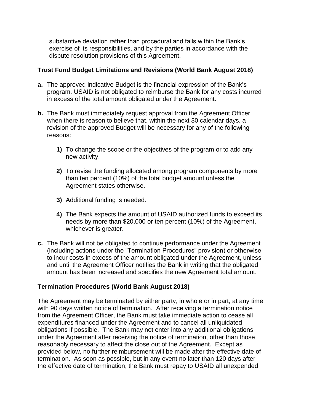substantive deviation rather than procedural and falls within the Bank's exercise of its responsibilities, and by the parties in accordance with the dispute resolution provisions of this Agreement.

#### **Trust Fund Budget Limitations and Revisions (World Bank August 2018)**

- **a.** The approved indicative Budget is the financial expression of the Bank's program. USAID is not obligated to reimburse the Bank for any costs incurred in excess of the total amount obligated under the Agreement.
- **b.** The Bank must immediately request approval from the Agreement Officer when there is reason to believe that, within the next 30 calendar days, a revision of the approved Budget will be necessary for any of the following reasons:
	- **1)** To change the scope or the objectives of the program or to add any new activity.
	- **2)** To revise the funding allocated among program components by more than ten percent (10%) of the total budget amount unless the Agreement states otherwise.
	- **3)** Additional funding is needed.
	- **4)** The Bank expects the amount of USAID authorized funds to exceed its needs by more than \$20,000 or ten percent (10%) of the Agreement, whichever is greater.
- **c.** The Bank will not be obligated to continue performance under the Agreement (including actions under the "Termination Procedures" provision) or otherwise to incur costs in excess of the amount obligated under the Agreement, unless and until the Agreement Officer notifies the Bank in writing that the obligated amount has been increased and specifies the new Agreement total amount.

## **Termination Procedures (World Bank August 2018)**

The Agreement may be terminated by either party, in whole or in part, at any time with 90 days written notice of termination. After receiving a termination notice from the Agreement Officer, the Bank must take immediate action to cease all expenditures financed under the Agreement and to cancel all unliquidated obligations if possible. The Bank may not enter into any additional obligations under the Agreement after receiving the notice of termination, other than those reasonably necessary to affect the close out of the Agreement. Except as provided below, no further reimbursement will be made after the effective date of termination. As soon as possible, but in any event no later than 120 days after the effective date of termination, the Bank must repay to USAID all unexpended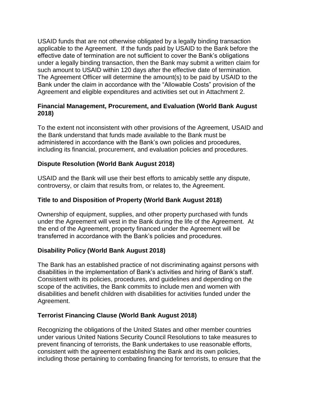USAID funds that are not otherwise obligated by a legally binding transaction applicable to the Agreement. If the funds paid by USAID to the Bank before the effective date of termination are not sufficient to cover the Bank's obligations under a legally binding transaction, then the Bank may submit a written claim for such amount to USAID within 120 days after the effective date of termination. The Agreement Officer will determine the amount(s) to be paid by USAID to the Bank under the claim in accordance with the "Allowable Costs" provision of the Agreement and eligible expenditures and activities set out in Attachment 2.

## **Financial Management, Procurement, and Evaluation (World Bank August 2018)**

To the extent not inconsistent with other provisions of the Agreement, USAID and the Bank understand that funds made available to the Bank must be administered in accordance with the Bank's own policies and procedures, including its financial, procurement, and evaluation policies and procedures.

## **Dispute Resolution (World Bank August 2018)**

USAID and the Bank will use their best efforts to amicably settle any dispute, controversy, or claim that results from, or relates to, the Agreement.

## **Title to and Disposition of Property (World Bank August 2018)**

Ownership of equipment, supplies, and other property purchased with funds under the Agreement will vest in the Bank during the life of the Agreement. At the end of the Agreement, property financed under the Agreement will be transferred in accordance with the Bank's policies and procedures.

#### **Disability Policy (World Bank August 2018)**

The Bank has an established practice of not discriminating against persons with disabilities in the implementation of Bank's activities and hiring of Bank's staff. Consistent with its policies, procedures, and guidelines and depending on the scope of the activities, the Bank commits to include men and women with disabilities and benefit children with disabilities for activities funded under the Agreement.

#### **Terrorist Financing Clause (World Bank August 2018)**

Recognizing the obligations of the United States and other member countries under various United Nations Security Council Resolutions to take measures to prevent financing of terrorists, the Bank undertakes to use reasonable efforts, consistent with the agreement establishing the Bank and its own policies, including those pertaining to combating financing for terrorists, to ensure that the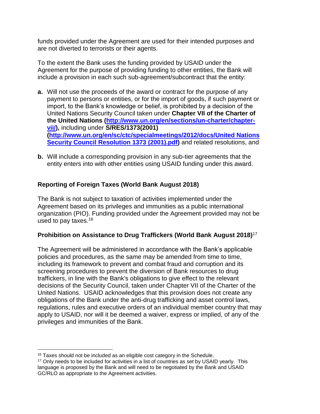funds provided under the Agreement are used for their intended purposes and are not diverted to terrorists or their agents.

To the extent the Bank uses the funding provided by USAID under the Agreement for the purpose of providing funding to other entities, the Bank will include a provision in each such sub-agreement/subcontract that the entity:

- **a.** Will not use the proceeds of the award or contract for the purpose of any payment to persons or entities, or for the import of goods, if such payment or import, to the Bank's knowledge or belief, is prohibited by a decision of the United Nations Security Council taken under **Chapter VII of the Charter of the United Nations [\(http://www.un.org/en/sections/un-charter/chapter](http://www.un.org/en/sections/un-charter/chapter-vii/)[vii/\)](http://www.un.org/en/sections/un-charter/chapter-vii/),** including under **S/RES/1373(2001) [\(http://www.un.org/en/sc/ctc/specialmeetings/2012/docs/United Nations](http://www.un.org/en/sc/ctc/specialmeetings/2012/docs/United%20Nations%20Security%20Council%20Resolution%201373%20(2001).pdf)  [Security Council Resolution 1373 \(2001\).pdf\)](http://www.un.org/en/sc/ctc/specialmeetings/2012/docs/United%20Nations%20Security%20Council%20Resolution%201373%20(2001).pdf)** and related resolutions, and
- **b.** Will include a corresponding provision in any sub-tier agreements that the entity enters into with other entities using USAID funding under this award.

## **Reporting of Foreign Taxes (World Bank August 2018)**

The Bank is not subject to taxation of activities implemented under the Agreement based on its privileges and immunities as a public international organization (PIO). Funding provided under the Agreement provided may not be used to pay taxes.<sup>16</sup>

#### **Prohibition on Assistance to Drug Traffickers (World Bank August 2018)**<sup>17</sup>

The Agreement will be administered in accordance with the Bank's applicable policies and procedures, as the same may be amended from time to time, including its framework to prevent and combat fraud and corruption and its screening procedures to prevent the diversion of Bank resources to drug traffickers, in line with the Bank's obligations to give effect to the relevant decisions of the Security Council, taken under Chapter VII of the Charter of the United Nations. USAID acknowledges that this provision does not create any obligations of the Bank under the anti-drug trafficking and asset control laws, regulations, rules and executive orders of an individual member country that may apply to USAID, nor will it be deemed a waiver, express or implied, of any of the privileges and immunities of the Bank.

 $\overline{\phantom{a}}$ <sup>16</sup> Taxes should not be included as an eligible cost category in the Schedule.

<sup>&</sup>lt;sup>17</sup> Only needs to be included for activities in a list of countries as set by USAID yearly. This language is proposed by the Bank and will need to be negotiated by the Bank and USAID GC/RLO as appropriate to the Agreement activities.